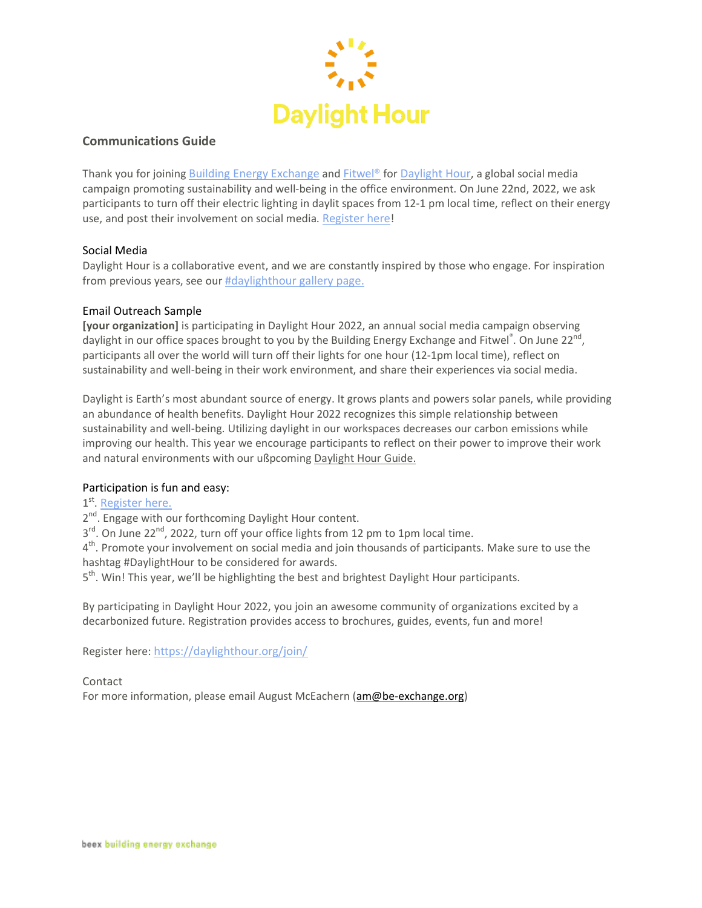

# **Communications Guide**

Thank you for joining Building Energy [Exchange](https://be-exchange.org/) and [Fitwel®](https://www.fitwel.org/) for [Daylight](https://daylighthour.org/) Hour, a global social media campaign promoting sustainability and well-being in the office environment. On June 22nd, 2022, we ask participants to turn off their electric lighting in daylit spaces from 12-1 pm local time, reflect on their energy use, and post their involvement on social media. [Register](https://daylighthour.org/join/) here!

#### Social Media

Daylight Hour is a collaborative event, and we are constantly inspired by those who engage. For inspiration from previous years, see our [#daylighthour](https://daylighthour.org/gallery/) gallery page.

#### Email Outreach Sample

**[your organization]** is participating in Daylight Hour 2022, an annual social media campaign observing daylight in our office spaces brought to you by the Building Energy Exchange and Fitwel<sup>®</sup>. On June 22<sup>nd</sup>, participants all over the world will turn off their lights for one hour (12-1pm local time), reflect on sustainability and well-being in their work environment, and share their experiences via social media.

Daylight is Earth's most abundant source of energy. It grows plants and powers solar panels, while providing an abundance of health benefits. Daylight Hour 2022 recognizes this simple relationship between sustainability and well-being. Utilizing daylight in our workspaces decreases our carbon emissions while improving our health. This year we encourage participants to reflect on their power to improve their work and natural environments with our ußpcoming Daylight Hour Guide.

## Participation is fun and easy:

1<sup>st</sup>. [Register](https://daylighthour.org/join/) here.

2<sup>nd</sup>. Engage with our forthcoming Daylight Hour content.

3<sup>rd</sup>. On June 22<sup>nd</sup>, 2022, turn off your office lights from 12 pm to 1pm local time.

4<sup>th</sup>. Promote your involvement on social media and join thousands of participants. Make sure to use the hashtag #DaylightHour to be considered for awards.

5<sup>th</sup>. Win! This year, we'll be highlighting the best and brightest Daylight Hour participants.

By participating in Daylight Hour 2022, you join an awesome community of organizations excited by a decarbonized future. Registration provides access to brochures, guides, events, fun and more!

Register here: <https://daylighthour.org/join/>

Contact

For more information, please email August McEachern [\(am@be-exchange.org\)](mailto:am@be-exchange.org)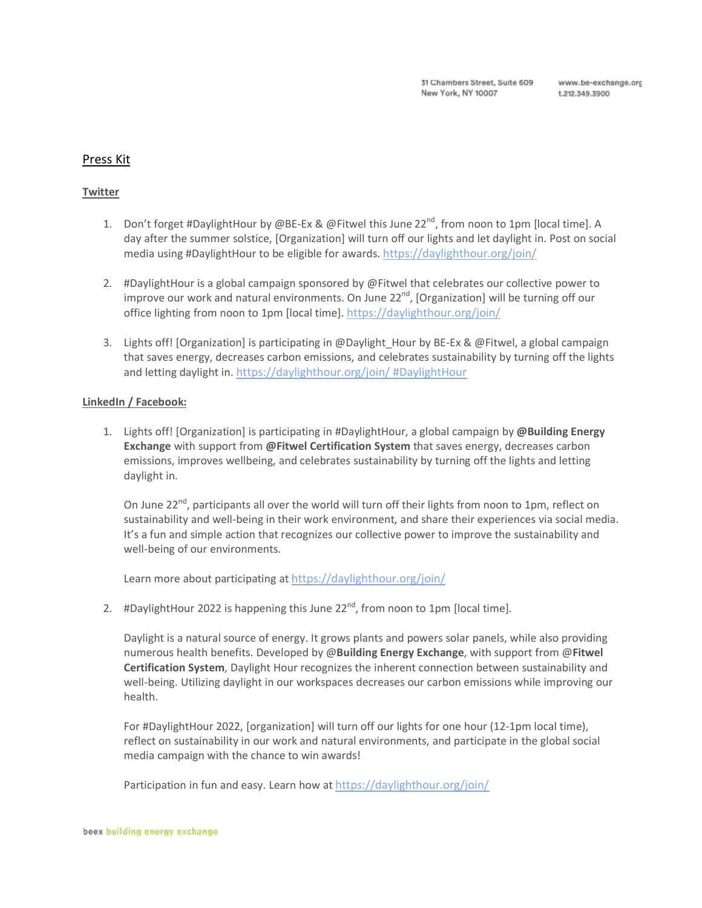## Press Kit

### **Twitter**

- 1. Don't forget #DaylightHour by @BE-Ex & @Fitwel this June 22<sup>nd</sup>, from noon to 1pm [local time]. A day after the summer solstice, [Organization] will turn off our lights and let daylight in. Post on social media using #DaylightHour to be eligible for awards. <https://daylighthour.org/join/>
- 2. #DaylightHour is a global campaign sponsored by @Fitwel that celebrates our collective power to improve our work and natural environments. On June 22<sup>nd</sup>, [Organization] will be turning off our office lighting from noon to 1pm [local time]. <https://daylighthour.org/join/>
- 3. Lights off! [Organization] is participating in @Daylight\_Hour by BE-Ex & @Fitwel, a global campaign that saves energy, decreases carbon emissions, and celebrates sustainability by turning off the lights and letting daylight in. <https://daylighthour.org/join/> #DaylightHour

#### **LinkedIn / Facebook:**

1. Lights off! [Organization] is participating in #DaylightHour, a global campaign by **@Building Energy Exchange** with support from **@Fitwel Certification System** that saves energy, decreases carbon emissions, improves wellbeing, and celebrates sustainability by turning off the lights and letting daylight in.

On June 22<sup>nd</sup>, participants all over the world will turn off their lights from noon to 1pm, reflect on sustainability and well-being in their work environment, and share their experiences via social media. It's a fun and simple action that recognizes our collective power to improve the sustainability and well-being of our environments.

Learn more about participating at <https://daylighthour.org/join/>

2.  $\#$ DaylightHour 2022 is happening this June 22<sup>nd</sup>, from noon to 1pm [local time].

Daylight is a natural source of energy. It grows plants and powers solar panels, while also providing numerous health benefits. Developed by @**Building Energy Exchange**, with support from @**Fitwel Certification System**, Daylight Hour recognizes the inherent connection between sustainability and well-being. Utilizing daylight in our workspaces decreases our carbon emissions while improving our health.

For #DaylightHour 2022, [organization] will turn off our lights for one hour (12-1pm local time), reflect on sustainability in our work and natural environments, and participate in the global social media campaign with the chance to win awards!

Participation in fun and easy. Learn how at <https://daylighthour.org/join/>